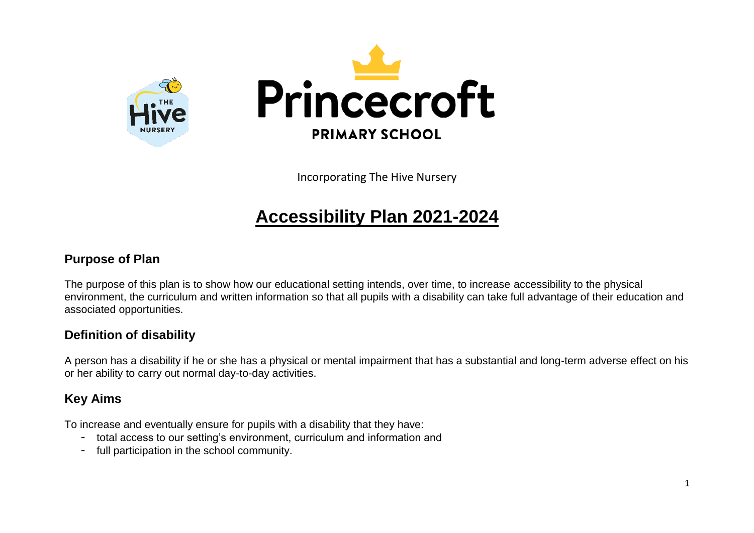

Incorporating The Hive Nursery

## **Accessibility Plan 2021-2024**

#### **Purpose of Plan**

The purpose of this plan is to show how our educational setting intends, over time, to increase accessibility to the physical environment, the curriculum and written information so that all pupils with a disability can take full advantage of their education and associated opportunities.

#### **Definition of disability**

A person has a disability if he or she has a physical or mental impairment that has a substantial and long-term adverse effect on his or her ability to carry out normal day-to-day activities.

#### **Key Aims**

To increase and eventually ensure for pupils with a disability that they have:

- total access to our setting's environment, curriculum and information and
- full participation in the school community.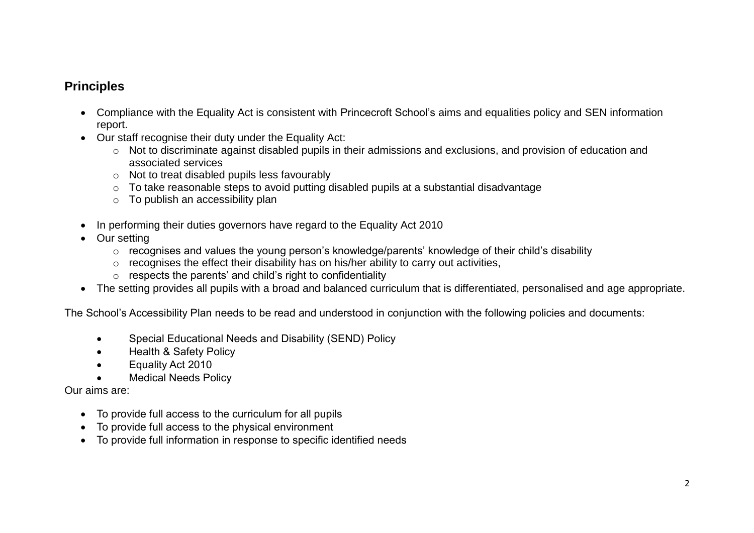#### **Principles**

- Compliance with the Equality Act is consistent with Princecroft School's aims and equalities policy and SEN information report.
- Our staff recognise their duty under the Equality Act:
	- o Not to discriminate against disabled pupils in their admissions and exclusions, and provision of education and associated services
	- o Not to treat disabled pupils less favourably
	- o To take reasonable steps to avoid putting disabled pupils at a substantial disadvantage
	- o To publish an accessibility plan
- In performing their duties governors have regard to the Equality Act 2010
- Our setting
	- o recognises and values the young person's knowledge/parents' knowledge of their child's disability
	- $\circ$  recognises the effect their disability has on his/her ability to carry out activities,
	- o respects the parents' and child's right to confidentiality
- The setting provides all pupils with a broad and balanced curriculum that is differentiated, personalised and age appropriate.

The School's Accessibility Plan needs to be read and understood in conjunction with the following policies and documents:

- Special Educational Needs and Disability (SEND) Policy
- Health & Safety Policy
- Equality Act 2010
- Medical Needs Policy

Our aims are:

- To provide full access to the curriculum for all pupils
- To provide full access to the physical environment
- To provide full information in response to specific identified needs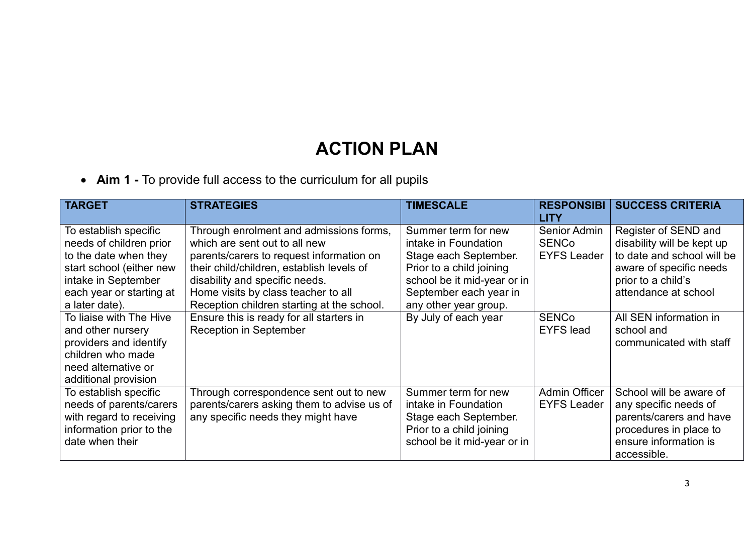# **ACTION PLAN**

**Aim 1 -** To provide full access to the curriculum for all pupils

| <b>TARGET</b>                                                                                                                              | <b>STRATEGIES</b>                                                                                                                                                                                   | <b>TIMESCALE</b>                                                                                                                | <b>RESPONSIBI</b><br><b>LITY</b>                   | <b>SUCCESS CRITERIA</b>                                                                                                                       |
|--------------------------------------------------------------------------------------------------------------------------------------------|-----------------------------------------------------------------------------------------------------------------------------------------------------------------------------------------------------|---------------------------------------------------------------------------------------------------------------------------------|----------------------------------------------------|-----------------------------------------------------------------------------------------------------------------------------------------------|
| To establish specific<br>needs of children prior<br>to the date when they<br>start school (either new<br>intake in September               | Through enrolment and admissions forms,<br>which are sent out to all new<br>parents/carers to request information on<br>their child/children, establish levels of<br>disability and specific needs. | Summer term for new<br>intake in Foundation<br>Stage each September.<br>Prior to a child joining<br>school be it mid-year or in | Senior Admin<br><b>SENCo</b><br><b>EYFS Leader</b> | Register of SEND and<br>disability will be kept up<br>to date and school will be<br>aware of specific needs<br>prior to a child's             |
| each year or starting at<br>a later date).                                                                                                 | Home visits by class teacher to all<br>Reception children starting at the school.                                                                                                                   | September each year in<br>any other year group.                                                                                 |                                                    | attendance at school                                                                                                                          |
| To liaise with The Hive<br>and other nursery<br>providers and identify<br>children who made<br>need alternative or<br>additional provision | Ensure this is ready for all starters in<br><b>Reception in September</b>                                                                                                                           | By July of each year                                                                                                            | <b>SENCo</b><br><b>EYFS</b> lead                   | All SEN information in<br>school and<br>communicated with staff                                                                               |
| To establish specific<br>needs of parents/carers<br>with regard to receiving<br>information prior to the<br>date when their                | Through correspondence sent out to new<br>parents/carers asking them to advise us of<br>any specific needs they might have                                                                          | Summer term for new<br>intake in Foundation<br>Stage each September.<br>Prior to a child joining<br>school be it mid-year or in | Admin Officer<br><b>EYFS Leader</b>                | School will be aware of<br>any specific needs of<br>parents/carers and have<br>procedures in place to<br>ensure information is<br>accessible. |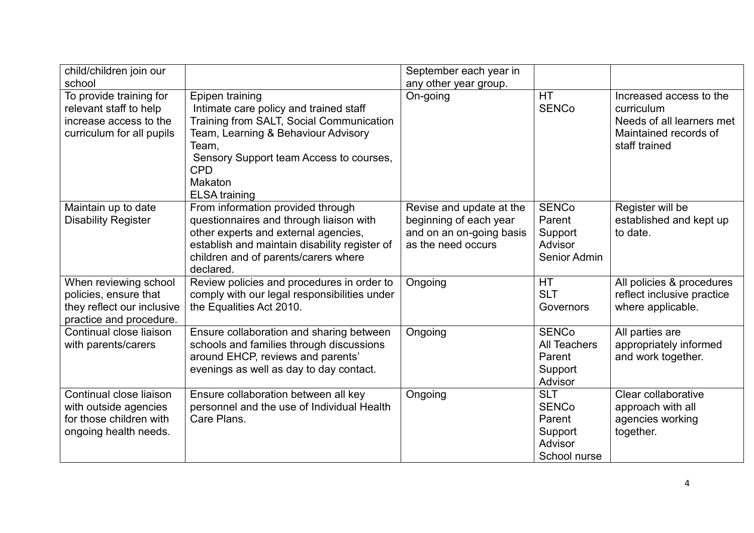| child/children join our                                                                                  |                                                                                                                                                                                                                                                   | September each year in                                                                               |                                                                            |                                                                                                              |
|----------------------------------------------------------------------------------------------------------|---------------------------------------------------------------------------------------------------------------------------------------------------------------------------------------------------------------------------------------------------|------------------------------------------------------------------------------------------------------|----------------------------------------------------------------------------|--------------------------------------------------------------------------------------------------------------|
| school                                                                                                   |                                                                                                                                                                                                                                                   | any other year group.                                                                                |                                                                            |                                                                                                              |
| To provide training for<br>relevant staff to help<br>increase access to the<br>curriculum for all pupils | Epipen training<br>Intimate care policy and trained staff<br>Training from SALT, Social Communication<br>Team, Learning & Behaviour Advisory<br>Team,<br>Sensory Support team Access to courses,<br><b>CPD</b><br>Makaton<br><b>ELSA</b> training | On-going                                                                                             | HT<br><b>SENCo</b>                                                         | Increased access to the<br>curriculum<br>Needs of all learners met<br>Maintained records of<br>staff trained |
| Maintain up to date<br><b>Disability Register</b>                                                        | From information provided through<br>questionnaires and through liaison with<br>other experts and external agencies,<br>establish and maintain disability register of<br>children and of parents/carers where<br>declared.                        | Revise and update at the<br>beginning of each year<br>and on an on-going basis<br>as the need occurs | <b>SENCo</b><br>Parent<br>Support<br>Advisor<br>Senior Admin               | Register will be<br>established and kept up<br>to date.                                                      |
| When reviewing school<br>policies, ensure that<br>they reflect our inclusive<br>practice and procedure.  | Review policies and procedures in order to<br>comply with our legal responsibilities under<br>the Equalities Act 2010.                                                                                                                            | Ongoing                                                                                              | <b>HT</b><br><b>SLT</b><br>Governors                                       | All policies & procedures<br>reflect inclusive practice<br>where applicable.                                 |
| Continual close liaison<br>with parents/carers                                                           | Ensure collaboration and sharing between<br>schools and families through discussions<br>around EHCP, reviews and parents'<br>evenings as well as day to day contact.                                                                              | Ongoing                                                                                              | <b>SENCo</b><br><b>All Teachers</b><br>Parent<br>Support<br>Advisor        | All parties are<br>appropriately informed<br>and work together.                                              |
| Continual close liaison<br>with outside agencies<br>for those children with<br>ongoing health needs.     | Ensure collaboration between all key<br>personnel and the use of Individual Health<br>Care Plans.                                                                                                                                                 | Ongoing                                                                                              | <b>SLT</b><br><b>SENCo</b><br>Parent<br>Support<br>Advisor<br>School nurse | Clear collaborative<br>approach with all<br>agencies working<br>together.                                    |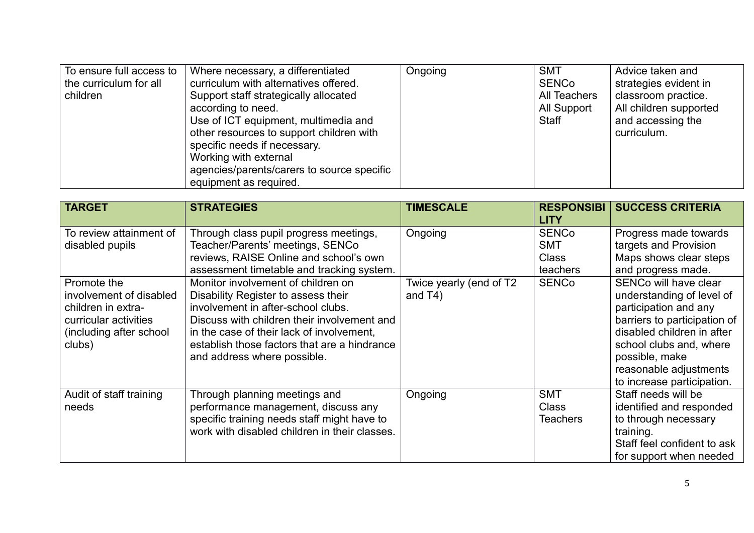| To ensure full access to | Where necessary, a differentiated          | Ongoing | <b>SMT</b>   | Advice taken and       |
|--------------------------|--------------------------------------------|---------|--------------|------------------------|
| the curriculum for all   | curriculum with alternatives offered.      |         | <b>SENCo</b> | strategies evident in  |
| children                 | Support staff strategically allocated      |         | All Teachers | classroom practice.    |
|                          | according to need.                         |         | All Support  | All children supported |
|                          | Use of ICT equipment, multimedia and       |         | Staff        | and accessing the      |
|                          | other resources to support children with   |         |              | curriculum.            |
|                          | specific needs if necessary.               |         |              |                        |
|                          | Working with external                      |         |              |                        |
|                          | agencies/parents/carers to source specific |         |              |                        |
|                          | equipment as required.                     |         |              |                        |

| <b>TARGET</b>                                                                                                              | <b>STRATEGIES</b>                                                                                                                                                                                                                                                                          | <b>TIMESCALE</b>                      | <b>RESPONSIBI</b><br><b>LITY</b>                       | <b>SUCCESS CRITERIA</b>                                                                                                                                                                                                                        |
|----------------------------------------------------------------------------------------------------------------------------|--------------------------------------------------------------------------------------------------------------------------------------------------------------------------------------------------------------------------------------------------------------------------------------------|---------------------------------------|--------------------------------------------------------|------------------------------------------------------------------------------------------------------------------------------------------------------------------------------------------------------------------------------------------------|
| To review attainment of<br>disabled pupils                                                                                 | Through class pupil progress meetings,<br>Teacher/Parents' meetings, SENCo<br>reviews, RAISE Online and school's own<br>assessment timetable and tracking system.                                                                                                                          | Ongoing                               | <b>SENCo</b><br><b>SMT</b><br><b>Class</b><br>teachers | Progress made towards<br>targets and Provision<br>Maps shows clear steps<br>and progress made.                                                                                                                                                 |
| Promote the<br>involvement of disabled<br>children in extra-<br>curricular activities<br>(including after school<br>clubs) | Monitor involvement of children on<br>Disability Register to assess their<br>involvement in after-school clubs.<br>Discuss with children their involvement and<br>in the case of their lack of involvement,<br>establish those factors that are a hindrance<br>and address where possible. | Twice yearly (end of T2<br>and $T4$ ) | <b>SENCo</b>                                           | SENCo will have clear<br>understanding of level of<br>participation and any<br>barriers to participation of<br>disabled children in after<br>school clubs and, where<br>possible, make<br>reasonable adjustments<br>to increase participation. |
| Audit of staff training<br>needs                                                                                           | Through planning meetings and<br>performance management, discuss any<br>specific training needs staff might have to<br>work with disabled children in their classes.                                                                                                                       | Ongoing                               | <b>SMT</b><br><b>Class</b><br><b>Teachers</b>          | Staff needs will be<br>identified and responded<br>to through necessary<br>training.<br>Staff feel confident to ask<br>for support when needed                                                                                                 |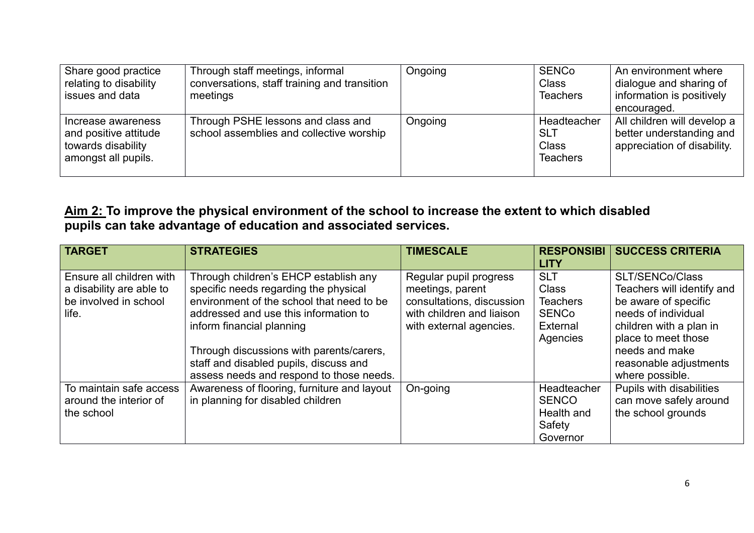| Share good practice<br>relating to disability<br>issues and data                         | Through staff meetings, informal<br>conversations, staff training and transition<br>meetings | Ongoing | SENCo<br><b>Class</b><br><b>Teachers</b>                     | An environment where<br>dialogue and sharing of<br>information is positively<br>encouraged. |
|------------------------------------------------------------------------------------------|----------------------------------------------------------------------------------------------|---------|--------------------------------------------------------------|---------------------------------------------------------------------------------------------|
| Increase awareness<br>and positive attitude<br>towards disability<br>amongst all pupils. | Through PSHE lessons and class and<br>school assemblies and collective worship               | Ongoing | <b>Headteacher</b><br><b>SLT</b><br>Class<br><b>Teachers</b> | All children will develop a<br>better understanding and<br>appreciation of disability.      |

#### **Aim 2: To improve the physical environment of the school to increase the extent to which disabled pupils can take advantage of education and associated services.**

| <b>TARGET</b>                                                                          | <b>STRATEGIES</b>                                                                                                                                                                                                                                                                                                                   | <b>TIMESCALE</b>                                                                                                                | <b>RESPONSIBI</b><br><b>LITY</b>                                                      | <b>SUCCESS CRITERIA</b>                                                                                                                                                                                              |
|----------------------------------------------------------------------------------------|-------------------------------------------------------------------------------------------------------------------------------------------------------------------------------------------------------------------------------------------------------------------------------------------------------------------------------------|---------------------------------------------------------------------------------------------------------------------------------|---------------------------------------------------------------------------------------|----------------------------------------------------------------------------------------------------------------------------------------------------------------------------------------------------------------------|
| Ensure all children with<br>a disability are able to<br>be involved in school<br>life. | Through children's EHCP establish any<br>specific needs regarding the physical<br>environment of the school that need to be<br>addressed and use this information to<br>inform financial planning<br>Through discussions with parents/carers,<br>staff and disabled pupils, discuss and<br>assess needs and respond to those needs. | Regular pupil progress<br>meetings, parent<br>consultations, discussion<br>with children and liaison<br>with external agencies. | <b>SLT</b><br><b>Class</b><br><b>Teachers</b><br><b>SENCo</b><br>External<br>Agencies | <b>SLT/SENCo/Class</b><br>Teachers will identify and<br>be aware of specific<br>needs of individual<br>children with a plan in<br>place to meet those<br>needs and make<br>reasonable adjustments<br>where possible. |
| To maintain safe access<br>around the interior of<br>the school                        | Awareness of flooring, furniture and layout<br>in planning for disabled children                                                                                                                                                                                                                                                    | On-going                                                                                                                        | <b>Headteacher</b><br><b>SENCO</b><br>Health and<br>Safety<br>Governor                | Pupils with disabilities<br>can move safely around<br>the school grounds                                                                                                                                             |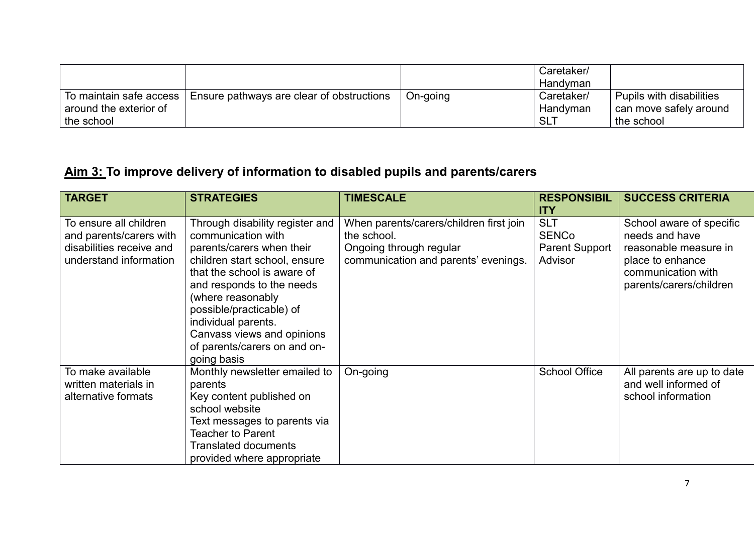|                                                                 |                                           |          | Caretaker/<br>Handvman                    |                                                                  |
|-----------------------------------------------------------------|-------------------------------------------|----------|-------------------------------------------|------------------------------------------------------------------|
| To maintain safe access<br>around the exterior of<br>the school | Ensure pathways are clear of obstructions | On-going | Caretaker/<br>Handyman<br>SL <sup>'</sup> | Pupils with disabilities<br>can move safely around<br>the school |

### **Aim 3: To improve delivery of information to disabled pupils and parents/carers**

| <b>TARGET</b>                                                                                           | <b>STRATEGIES</b>                                                                                                                                                                                                                                                                                                                    | <b>TIMESCALE</b>                                                                                                          | <b>RESPONSIBIL</b><br><b>ITY</b>                               | <b>SUCCESS CRITERIA</b>                                                                                                                  |
|---------------------------------------------------------------------------------------------------------|--------------------------------------------------------------------------------------------------------------------------------------------------------------------------------------------------------------------------------------------------------------------------------------------------------------------------------------|---------------------------------------------------------------------------------------------------------------------------|----------------------------------------------------------------|------------------------------------------------------------------------------------------------------------------------------------------|
| To ensure all children<br>and parents/carers with<br>disabilities receive and<br>understand information | Through disability register and<br>communication with<br>parents/carers when their<br>children start school, ensure<br>that the school is aware of<br>and responds to the needs<br>(where reasonably<br>possible/practicable) of<br>individual parents.<br>Canvass views and opinions<br>of parents/carers on and on-<br>going basis | When parents/carers/children first join<br>the school.<br>Ongoing through regular<br>communication and parents' evenings. | <b>SLT</b><br><b>SENCo</b><br><b>Parent Support</b><br>Advisor | School aware of specific<br>needs and have<br>reasonable measure in<br>place to enhance<br>communication with<br>parents/carers/children |
| To make available<br>written materials in<br>alternative formats                                        | Monthly newsletter emailed to<br>parents<br>Key content published on<br>school website<br>Text messages to parents via<br>Teacher to Parent<br><b>Translated documents</b><br>provided where appropriate                                                                                                                             | On-going                                                                                                                  | School Office                                                  | All parents are up to date<br>and well informed of<br>school information                                                                 |